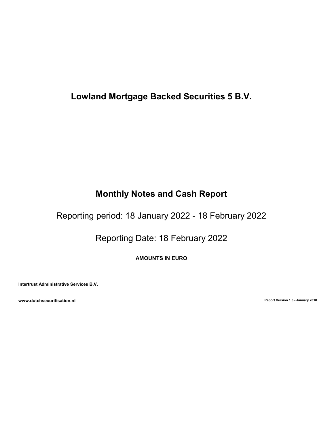# Lowland Mortgage Backed Securities 5 B.V.

# Monthly Notes and Cash Report

Reporting period: 18 January 2022 - 18 February 2022

Reporting Date: 18 February 2022

AMOUNTS IN EURO

Intertrust Administrative Services B.V.

www.dutchsecuritisation.nl **Exercise 2018** Report Version 1.3 - January 2018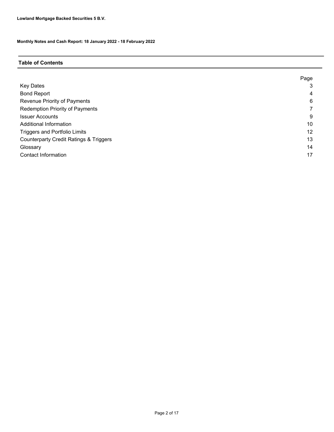#### Table of Contents

|                                                   | Page |
|---------------------------------------------------|------|
| <b>Key Dates</b>                                  | 3    |
| <b>Bond Report</b>                                | 4    |
| Revenue Priority of Payments                      | 6    |
| Redemption Priority of Payments                   |      |
| <b>Issuer Accounts</b>                            | 9    |
| Additional Information                            | 10   |
| <b>Triggers and Portfolio Limits</b>              | 12   |
| <b>Counterparty Credit Ratings &amp; Triggers</b> | 13   |
| Glossary                                          | 14   |
| <b>Contact Information</b>                        | 17   |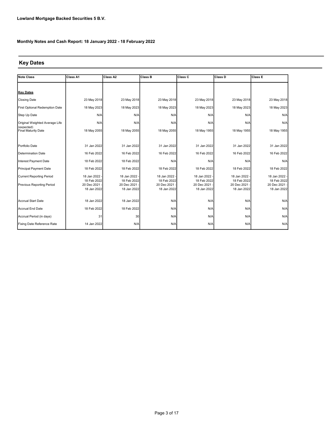## Key Dates

| <b>Note Class</b>                 | <b>Class A1</b>            | Class A2                   | <b>Class B</b>             | Class C                    | <b>Class D</b>             | Class E                      |
|-----------------------------------|----------------------------|----------------------------|----------------------------|----------------------------|----------------------------|------------------------------|
|                                   |                            |                            |                            |                            |                            |                              |
| <b>Key Dates</b>                  |                            |                            |                            |                            |                            |                              |
| <b>Closing Date</b>               | 23 May 2018                | 23 May 2018                | 23 May 2018                | 23 May 2018                | 23 May 2018                | 23 May 2018                  |
| First Optional Redemption Date    | 18 May 2023                | 18 May 2023                | 18 May 2023                | 18 May 2023                | 18 May 2023                | 18 May 2023                  |
| Step Up Date                      | N/A                        | N/A                        | N/A                        | N/A                        | N/A                        | N/A                          |
| Original Weighted Average Life    | N/A                        | N/A                        | N/A                        | N/A                        | N/A                        | N/A                          |
| (expected)<br>Final Maturity Date | 18 May 2055                | 18 May 2055                | 18 May 2055                | 18 May 1955                | 18 May 1955                | 18 May 1955                  |
|                                   |                            |                            |                            |                            |                            |                              |
| Portfolio Date                    | 31 Jan 2022                | 31 Jan 2022                | 31 Jan 2022                | 31 Jan 2022                | 31 Jan 2022                | 31 Jan 2022                  |
| Determination Date                | 16 Feb 2022                | 16 Feb 2022                | 16 Feb 2022                | 16 Feb 2022                | 16 Feb 2022                | 16 Feb 2022                  |
| Interest Payment Date             | 18 Feb 2022                | 18 Feb 2022                | N/A                        | N/A                        | N/A                        | N/A                          |
| Principal Payment Date            | 18 Feb 2022                | 18 Feb 2022                | 18 Feb 2022                | 18 Feb 2022                | 18 Feb 2022                | 18 Feb 2022                  |
| <b>Current Reporting Period</b>   | 18 Jan 2022                | 18 Jan 2022 -              | 18 Jan 2022 -              | 18 Jan 2022 -              | 18 Jan 2022 -              | 18 Jan 2022 -                |
| Previous Reporting Period         | 18 Feb 2022<br>20 Dec 2021 | 18 Feb 2022<br>20 Dec 2021 | 18 Feb 2022<br>20 Dec 2021 | 18 Feb 2022<br>20 Dec 2021 | 18 Feb 2022<br>20 Dec 2021 | 18 Feb 2022<br>20 Dec 2021 - |
|                                   | 18 Jan 2022                | 18 Jan 2022                | 18 Jan 2022                | 18 Jan 2022                | 18 Jan 2022                | 18 Jan 2022                  |
| Accrual Start Date                | 18 Jan 2022                | 18 Jan 2022                | N/A                        | N/A                        | N/A                        | N/A                          |
|                                   |                            |                            |                            |                            |                            |                              |
| Accrual End Date                  | 18 Feb 2022                | 18 Feb 2022                | N/A                        | N/A                        | N/A                        | N/A                          |
| Accrual Period (in days)          | 31                         | 30                         | N/A                        | N/A                        | N/A                        | N/A                          |
| Fixing Date Reference Rate        | 14 Jan 2022                | N/A                        | N/A                        | N/A                        | N/A                        | N/A                          |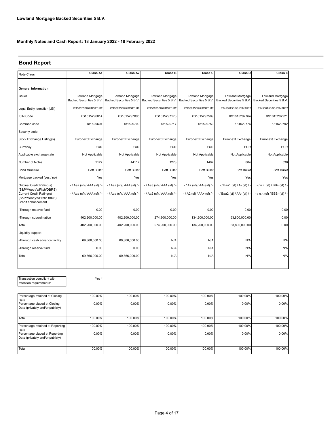### Bond Report

| Note Class                                                                                             | Class A1                                     | Class A2                                     | Class B                                      | Class C                                      | Class D                                      | Class E                                      |
|--------------------------------------------------------------------------------------------------------|----------------------------------------------|----------------------------------------------|----------------------------------------------|----------------------------------------------|----------------------------------------------|----------------------------------------------|
|                                                                                                        |                                              |                                              |                                              |                                              |                                              |                                              |
| General information                                                                                    |                                              |                                              |                                              |                                              |                                              |                                              |
| Issuer                                                                                                 | Lowland Mortgage<br>Backed Securities 5 B.V. | Lowland Mortgage<br>Backed Securities 5 B.V. | Lowland Mortgage<br>Backed Securities 5 B.V. | Lowland Mortgage<br>Backed Securities 5 B.V. | Lowland Mortgage<br>Backed Securities 5 B.V. | Lowland Mortgage<br>Backed Securities 5 B.V. |
| Legal Entity Identifier (LEI)                                                                          | 724500T5BI90JDS4TH12                         | 724500T5BI90JDS4TH12                         | 724500T5BI90JDS4TH12                         | 724500T5BI90JDS4TH12                         | 724500T5BI90JDS4TH12                         | 724500T5BI90JDS4TH12                         |
| ISIN Code                                                                                              | XS1815296014                                 | XS1815297095                                 | XS1815297178                                 | XS1815297509                                 | XS1815297764                                 | XS1815297921                                 |
| Common code                                                                                            | 181529601                                    | 181529709                                    | 181529717                                    | 181529750                                    | 181529776                                    | 181529792                                    |
| Security code                                                                                          |                                              |                                              |                                              |                                              |                                              |                                              |
| Stock Exchange Listing(s)                                                                              | Euronext Exchange                            | Euronext Exchange                            | Euronext Exchange                            | Euronext Exchange                            | Euronext Exchange                            | Euronext Exchange                            |
| Currency                                                                                               | <b>EUR</b>                                   | <b>EUR</b>                                   | <b>EUR</b>                                   | <b>EUR</b>                                   | <b>EUR</b>                                   | <b>EUR</b>                                   |
| Applicable exchange rate                                                                               | Not Applicable                               | Not Applicable                               | Not Applicable                               | Not Applicable                               | Not Applicable                               | Not Applicable                               |
| Number of Notes                                                                                        | 2127                                         | 44117                                        | 1273                                         | 1407                                         | 804                                          | 538                                          |
| <b>Bond structure</b>                                                                                  | Soft Bullet                                  | Soft Bullet                                  | Soft Bullet                                  | Soft Bullet                                  | Soft Bullet                                  | Soft Bullet                                  |
| Mortgage backed (yes / no)                                                                             | Yes                                          | Yes                                          | Yes                                          | Yes                                          | Yes                                          | Yes                                          |
| Original Credit Rating(s)                                                                              | - / Aaa (sf) / AAA (sf) /                    | - / Aaa (sf) / AAA (sf) / -                  | - / Aa3 (sf) / AAA (sf) / -                  | -/ A2 (sf) / AA- (sf) / -                    | -/Baa1 (sf) / A- (sf) / -                    | $-$ / n.r. (sf) / BB+ (sf) / -               |
| (S&P/Moody's/Fitch/DBRS)<br>Current Credit Rating(s)<br>(S&P/Moody's/Fitch/DBRS)<br>Credit enhancement | - / Aaa (sf) / AAA (sf) /                    | - / Aaa (sf) / AAA (sf) / -                  | - / Aa2 (sf) / AAA (sf) / -                  | - / A2 (sf) / AA+ (sf) / -                   | - / Baa2 (sf) / AA- (sf) / -                 | - / n.r. (sf) / BBB- (sf) / -                |
| -Through reserve fund                                                                                  | 0.00                                         | 0.00                                         | 0.00                                         | 0.00                                         | 0.00                                         | 0.00                                         |
| -Through subordination                                                                                 | 402,200,000.00                               | 402,200,000.00                               | 274,900,000.00                               | 134,200,000.00                               | 53,800,000.00                                | 0.00                                         |
| Total                                                                                                  | 402,200,000.00                               | 402,200,000.00                               | 274,900,000.00                               | 134,200,000.00                               | 53,800,000.00                                | 0.00                                         |
| Liquidity support                                                                                      |                                              |                                              |                                              |                                              |                                              |                                              |
| -Through cash advance facility                                                                         | 69.366.000.00                                | 69.366.000.00                                | N/A                                          | N/A                                          | N/A                                          | N/A                                          |
| -Through reserve fund                                                                                  | 0.00                                         | 0.00                                         | N/A                                          | N/A                                          | N/A                                          | N/A                                          |
| Total                                                                                                  | 69,366,000.00                                | 69,366,000.00                                | N/A                                          | N/A                                          | N/A                                          | N/A                                          |
|                                                                                                        |                                              |                                              |                                              |                                              |                                              |                                              |

Transaction compliant with retention requirements\*

Yes \*

| Percentage retained at Closing         | 100.00%  | 100.00%  | 100.00% | 100.00% | 100.00% | 100.00%  |
|----------------------------------------|----------|----------|---------|---------|---------|----------|
| Date<br>Percentage placed at Closing   | $0.00\%$ | $0.00\%$ | 0.00%   | 0.00%   | 0.00%   | $0.00\%$ |
| Date (privately and/or publicly)       |          |          |         |         |         |          |
|                                        |          |          |         |         |         |          |
| Total                                  | 100.00%  | 100.00%  | 100.00% | 100.00% | 100.00% | 100.00%  |
| Percentage retained at Reporting       | 100.00%  | 100.00%  | 100.00% | 100.00% | 100.00% | 100.00%  |
| Date<br>Percentage placed at Reporting | $0.00\%$ | $0.00\%$ | 0.00%   | 0.00%   | 0.00%   | $0.00\%$ |
| Date (privately and/or publicly)       |          |          |         |         |         |          |
|                                        |          |          |         |         |         |          |
| Total                                  | 100.00%  | 100.00%  | 100.00% | 100.00% | 100.00% | 100.00%  |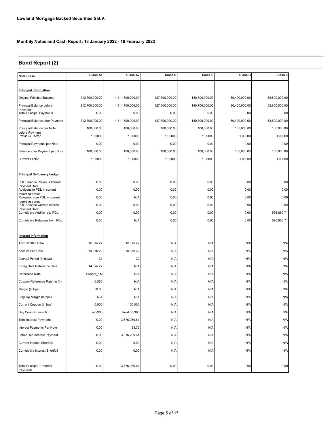# Bond Report (2)

| <b>Note Class</b>                                  | Class A1       | Class A2         | <b>Class B</b> | Class C        | Class D       | Class E       |
|----------------------------------------------------|----------------|------------------|----------------|----------------|---------------|---------------|
|                                                    |                |                  |                |                |               |               |
| <b>Principal information</b>                       |                |                  |                |                |               |               |
| Original Principal Balance                         | 212,700,000.00 | 4,411,700,000.00 | 127,300,000.00 | 140,700,000.00 | 80,400,000.00 | 53,800,000.00 |
| Principal Balance before                           | 212,700,000.00 | 4,411,700,000.00 | 127,300,000.00 | 140,700,000.00 | 80,400,000.00 | 53,800,000.00 |
| Payment<br><b>Total Principal Payments</b>         | 0.00           | 0.00             | 0.00           | 0.00           | 0.00          | 0.00          |
| Principal Balance after Payment                    | 212,700,000.00 | 4,411,700,000.00 | 127,300,000.00 | 140,700,000.00 | 80,400,000.00 | 53,800,000.00 |
| Principal Balance per Note                         | 100,000.00     | 100,000.00       | 100,000.00     | 100,000.00     | 100,000.00    | 100,000.00    |
| before Payment<br><b>Previous Factor</b>           | 1.00000        | 1.00000          | 1.00000        | 1.00000        | 1.00000       | 1.00000       |
| Principal Payments per Note                        | 0.00           | 0.00             | 0.00           | 0.00           | 0.00          | 0.00          |
| Balance after Payment per Note                     | 100,000.00     | 100,000.00       | 100,000.00     | 100,000.00     | 100,000.00    | 100,000.00    |
| <b>Current Factor</b>                              | 1.00000        | 1.00000          | 1.00000        | 1.00000        | 1.00000       | 1.00000       |
|                                                    |                |                  |                |                |               |               |
| <b>Principal Deficiency Ledger</b>                 |                |                  |                |                |               |               |
| PDL Balance Previous Interest                      | 0.00           | 0.00             | 0.00           | 0.00           | 0.00          | 0.00          |
| Payment Date<br>Additions to PDL in current        | 0.00           | 0.00             | 0.00           | 0.00           | 0.00          | 0.00          |
| reporting period<br>Releases from PDL in current   | 0.00           | N/A              | 0.00           | 0.00           | 0.00          | 0.00          |
| reporting period<br>PDL Balance Current Interest   | 0.00           | 0.00             | 0.00           | 0.00           | 0.00          | 0.00          |
| <b>Payment Date</b><br>Cumulative Additions to PDL | 0.00           | 0.00             | 0.00           | 0.00           | 0.00          | 596,860.71    |
| Cumulative Releases from PDL                       | 0.00           | N/A              | 0.00           | 0.00           | 0.00          | 596,860.71    |
|                                                    |                |                  |                |                |               |               |
| Interest information                               |                |                  |                |                |               |               |
| <b>Accrual Start Date</b>                          | 18 Jan 22      | 18 Jan 22        | N/A            | N/A            | N/A           | N/A           |
| Accrual End Date                                   | 18 Feb 22      | 18 Feb 22        | N/A            | N/A            | N/A           | N/A           |
| Accrual Period (in days)                           | 31             | 30               | N/A            | N/A            | N/A           | N/A           |
| Fixing Date Reference Rate                         | 14 Jan 22      | N/A              | N/A            | N/A            | N/A           | N/A           |
| Reference Rate                                     | Euribor_1M     | N/A              | N/A            | N/A            | N/A           | N/A           |
| Coupon Reference Rate (in %)                       | $-0.565$       | N/A              | N/A            | N/A            | N/A           | N/A           |
| Margin (in bps)                                    | 50.00          | N/A              | N/A            | N/A            | N/A           | N/A           |
| Step Up Margin (in bps)                            | N/A            | N/A              | N/A            | N/A            | N/A           | N/A           |
| Current Coupon (in bps)                            | 0.000          | 100.000          | N/A            | N/A            | N/A           | N/A           |
| Day Count Convention                               | act/360        | fixed 30/360     | N/A            | N/A            | N/A           | N/A           |
| <b>Total Interest Payments</b>                     | 0.00           | 3,676,269.61     | N/A            | N/A            | N/A           | N/A           |
| Interest Payments Per Note                         | 0.00           | 83.33            | N/A            | N/A            | N/A           | N/A           |
| Scheduled Interest Payment                         | 0.00           | 3,676,269.61     | N/A            | N/A            | N/A           | N/A           |
| Current Interest Shortfall                         | 0.00           | 0.00             | N/A            | N/A            | N/A           | N/A           |
| Cumulative Interest Shortfall                      | 0.00           | 0.00             | N/A            | N/A            | N/A           | N/A           |
|                                                    |                |                  |                |                |               |               |
| Total Principal + Interest<br>Payments             | 0.00           | 3,676,269.61     | 0.00           | 0.00           | 0.00          | 0.00          |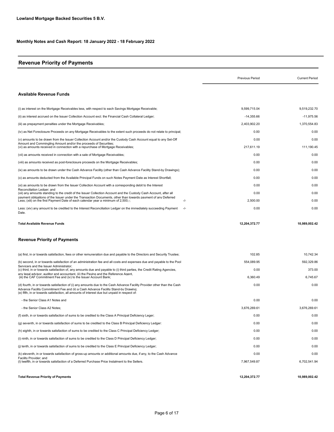## Revenue Priority of Payments

|                                                                                                                                                                                                                                                                                                               | <b>Previous Period</b> | <b>Current Period</b> |
|---------------------------------------------------------------------------------------------------------------------------------------------------------------------------------------------------------------------------------------------------------------------------------------------------------------|------------------------|-----------------------|
| <b>Available Revenue Funds</b>                                                                                                                                                                                                                                                                                |                        |                       |
|                                                                                                                                                                                                                                                                                                               |                        |                       |
| (i) as interest on the Mortgage Receivables less, with respect to each Savings Mortgage Receivable;                                                                                                                                                                                                           | 9,599,715.04           | 9.519.232.70          |
| (ii) as interest accrued on the Issuer Collection Account excl. the Financial Cash Collateral Ledger;                                                                                                                                                                                                         | $-14,355.66$           | $-11,975.56$          |
| (iii) as prepayment penalties under the Mortgage Receivables;                                                                                                                                                                                                                                                 | 2,403,902.20           | 1,370,554.83          |
| (iv) as Net Foreclosure Proceeds on any Mortgage Receivables to the extent such proceeds do not relate to principal;                                                                                                                                                                                          | 0.00                   | 0.00                  |
| (v) amounts to be drawn from the Issuer Collection Account and/or the Custody Cash Account equal to any Set-Off                                                                                                                                                                                               | 0.00                   | 0.00                  |
| Amount and Commingling Amount and/or the proceeds of Securities;<br>(vi) as amounts received in connection with a repurchase of Mortgage Receivables;                                                                                                                                                         | 217,611.19             | 111,190.45            |
| (vii) as amounts received in connection with a sale of Mortgage Receivables;                                                                                                                                                                                                                                  | 0.00                   | 0.00                  |
| (viii) as amounts received as post-foreclosure proceeds on the Mortgage Receivables;                                                                                                                                                                                                                          | 0.00                   | 0.00                  |
| (ix) as amounts to be drawn under the Cash Advance Facility (other than Cash Advance Facility Stand-by Drawings);                                                                                                                                                                                             | 0.00                   | 0.00                  |
| (x) as amounts deducted from the Available Principal Funds on such Notes Payment Date as Interest Shortfall;                                                                                                                                                                                                  | 0.00                   | 0.00                  |
| (xi) as amounts to be drawn from the Issuer Collection Account with a corresponding debit to the Interest                                                                                                                                                                                                     | 0.00                   | 0.00                  |
| Reconciliation Ledger: and<br>(xii) any amounts standing to the credit of the Issuer Collection Account and the Custody Cash Account, after all                                                                                                                                                               | 0.00                   | 0.00                  |
| payment obligations of the Issuer under the Transaction Documents, other than towards payment of any Deferred<br>Less; (xiii) on the first Payment Date of each calendar year a minimum of 2,500,-;<br>-/-                                                                                                    | 2,500.00               | 0.00                  |
| Less: (xiv) any amount to be credited to the Interest Reconciliation Ledger on the immediately succeeding Payment<br>$-/-$<br>Date.                                                                                                                                                                           | 0.00                   | 0.00                  |
| Total Available Revenue Funds                                                                                                                                                                                                                                                                                 | 12,204,372.77          | 10,989,002.42         |
| <b>Revenue Priority of Payments</b>                                                                                                                                                                                                                                                                           |                        |                       |
| (a) first, in or towards satisfaction, fees or other remuneration due and payable to the Directors and Security Trustee;                                                                                                                                                                                      | 102.85                 | 10,742.34             |
| (b) second, in or towards satisfaction of an administration fee and all costs and expenses due and payable to the Pool                                                                                                                                                                                        | 554,089.95             | 592,329.86            |
| Servicers and the Issuer Administrator;<br>(c) third, in or towards satisfaction of, any amounts due and payable to (i) third parties, the Credit Rating Agencies,                                                                                                                                            | 0.00                   | 373.00                |
| anv legal advisor, auditor and accountant, (ii) the Paving and the Reference Agent.<br>(iii) the CAF Commitment Fee and (iv) to the Issuer Account Bank;                                                                                                                                                      | 6,360.49               | 6,745.67              |
| (d) fourth, in or towards satisfaction of (i) any amounts due to the Cash Advance Facility Provider other than the Cash<br>Advance Facilitv Commitment Fee and (ii) a Cash Advance Facilitv Stand-bv Drawing:<br>(e) fifth, in or towards satisfaction, all amounts of interest due but unpaid in respect of: | 0.00                   | 0.00                  |
| - the Senior Class A1 Notes and                                                                                                                                                                                                                                                                               | 0.00                   | 0.00                  |
| - the Senior Class A2 Notes;                                                                                                                                                                                                                                                                                  | 3,676,269.61           | 3,676,269.61          |
| (f) sixth, in or towards satisfaction of sums to be credited to the Class A Principal Deficiency Leger;                                                                                                                                                                                                       | 0.00                   | 0.00                  |
| (g) seventh, in or towards satisfaction of sums to be credited to the Class B Principal Deficiency Ledger:                                                                                                                                                                                                    | 0.00                   | 0.00                  |
| (h) eighth, in or towards satisfaction of sums to be credited to the Class C Principal Deficiency Ledger;                                                                                                                                                                                                     | 0.00                   | 0.00                  |
| (i) ninth, in or towards satisfaction of sums to be credited to the Class D Principal Deficiency Ledger;                                                                                                                                                                                                      | 0.00                   | 0.00                  |
| (i) tenth, in or towards satisfaction of sums to be credited to the Class E Principal Deficiency Ledger;                                                                                                                                                                                                      | 0.00                   | 0.00                  |
| (k) eleventh, in or towards satisfaction of gross-up amounts or additional amounts due, if any, to the Cash Advance                                                                                                                                                                                           | 0.00                   | 0.00                  |
| Facility Provider; and<br>(I) twelfth, in or towards satisfaction of a Deferred Purchase Price Instalment to the Sellers.                                                                                                                                                                                     | 7,967,549.87           | 6,702,541.94          |
|                                                                                                                                                                                                                                                                                                               |                        |                       |

Total Revenue Priority of Payments 12,204,372.77

10,989,002.42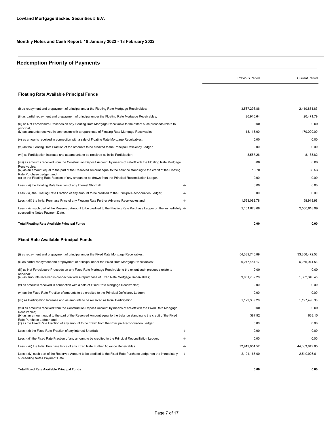# Redemption Priority of Payments

|                                                                                                                                                           |        | Previous Period | <b>Current Period</b> |
|-----------------------------------------------------------------------------------------------------------------------------------------------------------|--------|-----------------|-----------------------|
| <b>Floating Rate Available Principal Funds</b>                                                                                                            |        |                 |                       |
| (i) as repayment and prepayment of principal under the Floating Rate Mortgage Receivables;                                                                |        | 3,587,293.86    | 2,410,851.83          |
| (ii) as partial repayment and prepayment of principal under the Floating Rate Mortgage Receivables;                                                       |        | 20,916.64       | 20,471.79             |
| (iii) as Net Foreclosure Proceeds on any Floating Rate Mortgage Receivable to the extent such proceeds relate to                                          |        | 0.00            | 0.00                  |
| principal;<br>(iv) as amounts received in connection with a repurchase of Floating Rate Mortgage Receivables;                                             |        | 18,115.00       | 170,000.00            |
| (v) as amounts received in connection with a sale of Floating Rate Mortgage Receivables;                                                                  |        | 0.00            | 0.00                  |
| (vi) as the Floating Rate Fraction of the amounts to be credited to the Principal Deficiency Ledger;                                                      |        | 0.00            | 0.00                  |
| (vii) as Participation Increase and as amounts to be received as Initial Participation;                                                                   |        | 8,567.26        | 8,183.82              |
| (viii) as amounts received from the Construction Deposit Account by means of set-off with the Floating Rate Mortgage                                      |        | 0.00            | 0.00                  |
| Receivables;<br>(ix) as an amount equal to the part of the Reserved Amount equal to the balance standing to the credit of the Floating                    |        | 18.70           | 30.53                 |
| Rate Purchase Ledger; and<br>(x) as the Floating Rate Fraction of any amount to be drawn from the Principal Reconciliation Ledger.                        |        | 0.00            | 0.00                  |
| Less: (xi) the Floating Rate Fraction of any Interest Shortfall;                                                                                          | $-I -$ | 0.00            | 0.00                  |
| Less: (xii) the Floating Rate Fraction of any amount to be credited to the Principal Reconciliation Ledger;                                               | -/-    | 0.00            | 0.00                  |
| Less: (xiii) the Initial Purchase Price of any Floating Rate Further Advance Receivables and                                                              | -/-    | 1,533,082.78    | 58,918.98             |
| Less: (xiv) such part of the Reserved Amount to be credited to the Floating Rate Purchase Ledger on the immediately -/-<br>succeeding Notes Payment Date. |        | 2,101,828.68    | 2,550,618.99          |
| <b>Total Floating Rate Available Principal Funds</b>                                                                                                      |        | 0.00            | 0.00                  |
| <b>Fixed Rate Available Principal Funds</b>                                                                                                               |        |                 |                       |
| (i) as repayment and prepayment of principal under the Fixed Rate Mortgage Receivables;                                                                   |        | 54,389,745.89   | 33,356,472.53         |
| (ii) as partial repayment and prepayment of principal under the Fixed Rate Mortgage Receivables;                                                          |        | 6,247,484.17    | 6,266,974.53          |
| (iii) as Net Foreclosure Proceeds on any Fixed Rate Mortgage Receivable to the extent such proceeds relate to                                             |        | 0.00            | 0.00                  |
| principal:<br>(iv) as amounts received in connection with a repurchase of Fixed Rate Mortgage Receivables;                                                |        | 9,051,782.28    | 1,362,346.45          |
| (v) as amounts received in connection with a sale of Fixed Rate Mortgage Receivables;                                                                     |        | 0.00            | 0.00                  |
| (vi) as the Fixed Rate Fraction of amounts to be credited to the Principal Deficiency Ledger;                                                             |        | 0.00            | 0.00                  |
| (vii) as Participation Increase and as amounts to be received as Initial Participation                                                                    |        | 1,129,389.26    | 1,127,496.38          |
| (viii) as amounts received from the Construction Deposit Account by means of set-off with the Fixed Rate Mortgage                                         |        | 0.00            | 0.00                  |
| Receivables;<br>(ix) as an amount equal to the part of the Reserved Amount equal to the balance standing to the credit of the Fixed                       |        | 387.92          | 633.15                |
| Rate Purchase Ledger; and<br>(x) as the Fixed Rate Fraction of any amount to be drawn from the Principal Reconciliation Ledger.                           |        | 0.00            | 0.00                  |
| Less: (xi) the Fixed Rate Fraction of any Interest Shortfall;                                                                                             | $-/-$  | 0.00            | 0.00                  |
| Less: (xii) the Fixed Rate Fraction of any amount to be credited to the Principal Reconciliation Ledger.                                                  | -/-    | 0.00            | 0.00                  |
| Less: (xiii) the Initial Purchase Price of any Fixed Rate Further Advance Receivables.                                                                    | -/-    | 72,919,954.52   | 44,663,849.65         |
| Less: (xiv) such part of the Reserved Amount to be credited to the Fixed Rate Purchase Ledger on the immediately<br>succeeding Notes Payment Date.        | $-/-$  | $-2,101,165.00$ | $-2,549,926.61$       |
| <b>Total Fixed Rate Available Principal Funds</b>                                                                                                         |        | 0.00            | 0.00                  |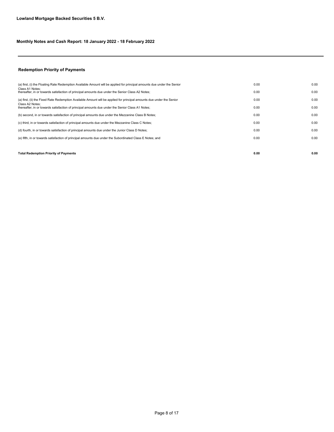#### Redemption Priority of Payments

| <b>Total Redemption Priority of Payments</b>                                                                            | 0.00 | 0.00 |
|-------------------------------------------------------------------------------------------------------------------------|------|------|
|                                                                                                                         |      |      |
| (e) fifth, in or towards satisfaction of principal amounts due under the Subordinated Class E Notes; and                | 0.00 | 0.00 |
| (d) fourth, in or towards satisfaction of principal amounts due under the Junior Class D Notes;                         | 0.00 | 0.00 |
| (c) third, in or towards satisfaction of principal amounts due under the Mezzanine Class C Notes;                       | 0.00 | 0.00 |
| (b) second, in or towards satisfaction of principal amounts due under the Mezzanine Class B Notes;                      | 0.00 | 0.00 |
| Class A2 Notes:<br>thereafter, in or towards satisfaction of principal amounts due under the Senior Class A1 Notes;     | 0.00 | 0.00 |
| (a) first, (ii) the Fixed Rate Redemption Available Amount will be applied for principal amounts due under the Senior   | 0.00 | 0.00 |
| Class A1 Notes:<br>thereafter, in or towards satisfaction of principal amounts due under the Senior Class A2 Notes;     | 0.00 | 0.00 |
| (a) first, (i) the Floating Rate Redemption Available Amount will be applied for principal amounts due under the Senior | 0.00 | 0.00 |
|                                                                                                                         |      |      |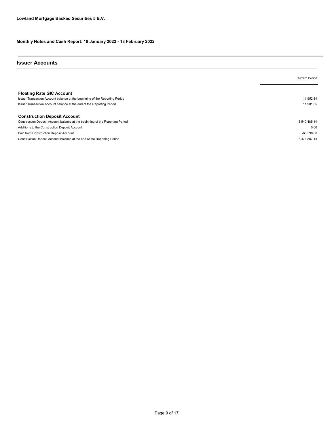#### Issuer Accounts

|                                                                                                                 | <b>Current Period</b> |
|-----------------------------------------------------------------------------------------------------------------|-----------------------|
| <b>Floating Rate GIC Account</b><br>Issuer Transaction Account balance at the beginning of the Reporting Period | 11.952.84             |
| Issuer Transaction Account balance at the end of the Reporting Period                                           | 11.981.55             |
| <b>Construction Deposit Account</b>                                                                             |                       |
| Construction Deposit Account balance at the beginning of the Reporting Period                                   | 8,540,485.14          |
| Additions to the Construction Deposit Account                                                                   | 0.00                  |
| Paid from Construction Deposit Account                                                                          | $-63.598.00$          |
| Construction Deposit Account balance at the end of the Reporting Period                                         | 8.476.887.14          |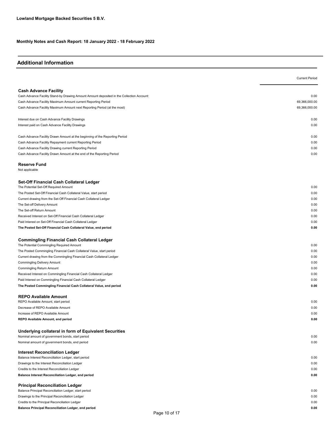### Additional Information

|                                                                                           | <b>Current Period</b> |
|-------------------------------------------------------------------------------------------|-----------------------|
|                                                                                           |                       |
| <b>Cash Advance Facility</b>                                                              |                       |
| Cash Advance Facility Stand-by Drawing Amount Amount deposited in the Collection Account: | 0.00                  |
| Cash Advance Facility Maximum Amount current Reporting Period                             | 69,366,000.00         |
| Cash Advance Facility Maximum Amount next Reporting Period (at the most)                  | 69,366,000.00         |
| Interest due on Cash Advance Facility Drawings                                            | 0.00                  |
| Interest paid on Cash Advance Facility Drawings                                           | 0.00                  |
| Cash Advance Facility Drawn Amount at the beginning of the Reporting Period               | 0.00                  |
| Cash Advance Facility Repayment current Reporting Period                                  | 0.00                  |
| Cash Advance Facility Drawing current Reporting Period                                    | 0.00                  |
| Cash Advance Facility Drawn Amount at the end of the Reporting Period                     | 0.00                  |
|                                                                                           |                       |
| <b>Reserve Fund</b><br>Not applicable                                                     |                       |
|                                                                                           |                       |
| Set-Off Financial Cash Collateral Ledger                                                  |                       |
| The Potential Set-Off Required Amount                                                     | 0.00                  |
| The Posted Set-Off Financial Cash Collateral Value, start period                          | 0.00                  |
| Current drawing from the Set-Off Financial Cash Collateral Ledger                         | 0.00                  |
| The Set-off Delivery Amount                                                               | 0.00                  |
| The Set-off Return Amount                                                                 | 0.00                  |
| Received Interest on Set-Off Financial Cash Collateral Ledger                             | 0.00                  |
| Paid Interest on Set-Off Financial Cash Collateral Ledger                                 | 0.00                  |
| The Posted Set-Off Financial Cash Collateral Value, end period                            | 0.00                  |
| <b>Commingling Financial Cash Collateral Ledger</b>                                       |                       |
| The Potential Commingling Required Amount                                                 | 0.00                  |
| The Posted Commingling Financial Cash Collateral Value, start period                      | 0.00                  |
| Current drawing from the Commingling Financial Cash Collateral Ledger                     | 0.00                  |
| <b>Commingling Delivery Amount</b>                                                        | 0.00                  |
| Commingling Return Amount                                                                 | 0.00                  |
| Received Interest on Commingling Financial Cash Collateral Ledger                         | 0.00                  |
| Paid Interest on Commingling Financial Cash Collateral Ledger                             | 0.00                  |
| The Posted Commingling Financial Cash Collateral Value, end period                        | 0.00                  |
| <b>REPO Available Amount</b>                                                              |                       |
| REPO Available Amount, start period                                                       | 0.00                  |
| Decrease of REPO Available Amount                                                         | 0.00                  |
| Increase of REPO Available Amount                                                         | 0.00                  |
| REPO Available Amount, end period                                                         | 0.00                  |
| Underlying collateral in form of Equivalent Securities                                    |                       |
| Nominal amount of government bonds, start period                                          | 0.00                  |
| Nominal amount of government bonds, end period                                            | 0.00                  |
| <b>Interest Reconciliation Ledger</b>                                                     |                       |
| Balance Interest Reconciliation Ledger, start period                                      | 0.00                  |
| Drawings to the Interest Reconciliation Ledger                                            | 0.00                  |
| Credits to the Interest Reconciliation Ledger                                             | 0.00                  |
| Balance Interest Reconciliation Ledger, end period                                        | 0.00                  |
| <b>Principal Reconciliation Ledger</b>                                                    |                       |
| Balance Principal Reconciliation Ledger, start period                                     | 0.00                  |
| Drawings to the Principal Reconciliation Ledger                                           | 0.00                  |
| Credits to the Principal Reconciliation Ledger                                            | 0.00                  |
| Balance Principal Reconciliation Ledger, end period                                       | 0.00                  |
| Dogo 10 of 17                                                                             |                       |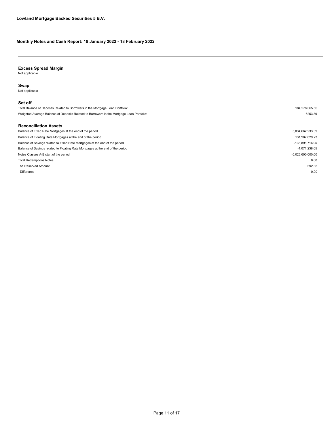#### Excess Spread Margin

Not applicable

#### Swap

Not applicable

#### Set off

Reconciliation Assets Total Balance of Deposits Related to Borrowers in the Mortgage Loan Portfolio: 184,278,065.50 Weighted Average Balance of Deposits Related to Borrowers in the Mortgage Loan Portfolio: 6253.39

The Reserved Amount 692.38 - Difference the contract of the contract of the contract of the contract of the contract of the contract of the contract of the contract of the contract of the contract of the contract of the contract of the contract of t Notes Classes A-E start of the period  $-5.026,600,000.00$ Total Redemptions Notes 0.00 Balance of Savings related to Fixed Rate Mortgages at the end of the period care and only a state of the period of the period of the period of the period of the period of the same and or the period of the period of the per Balance of Savings related to Floating Rate Mortgages at the end of the period -1,071,238.05 Balance of Fixed Rate Mortgages at the end of the period 5,034,662,233.39 Balance of Floating Rate Mortgages at the end of the period in the period in the period in the period in the period in the period in the period in the period in the period in the period in the period in the period in the p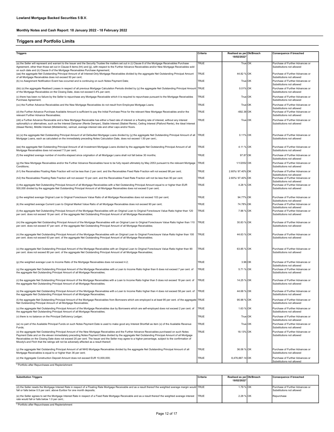#### Triggers and Portfolio Limits

| <b>Triggers</b>                                                                                                                                                                                                                                                                                                                                                                                                                                                                                                                                           | Criteria    | Realised as per Ok/Breach<br>18/02/2022* |    | <b>Consequence if breached</b>                               |
|-----------------------------------------------------------------------------------------------------------------------------------------------------------------------------------------------------------------------------------------------------------------------------------------------------------------------------------------------------------------------------------------------------------------------------------------------------------------------------------------------------------------------------------------------------------|-------------|------------------------------------------|----|--------------------------------------------------------------|
| (a) the Seller will represent and warrant to the Issuer and the Security Trustee the matters set out in (i) Clause 8 of the Mortgage Receivables Purchase<br>Agreement, other than those set out in Clause 8 items (hh) and (ij), with respect to the Further Advance Receivables and/or New Mortgage Receivables sold                                                                                                                                                                                                                                    | TRUE        | True OK                                  |    | Purchase of Further Advances or<br>Substitutions not allowed |
| on such date and (ii) Clause 9 of the Mortgage Receivables Purchase Agreement;<br>(aa) the aggregate Net Outstanding Principal Amount of all Interest-Only Mortgage Receivables divided by the aggregate Net Outstanding Principal Amount<br>of all Mortgage Receivables does not exceed 50 per cent;                                                                                                                                                                                                                                                     | <b>TRUE</b> | 44.82 %                                  | OK | Purchase of Further Advances or<br>Substitutions not allowed |
| (b) no Assignment Notification Event has occurred and is continuing on such Notes Payment Date;                                                                                                                                                                                                                                                                                                                                                                                                                                                           | <b>TRUE</b> | True OK                                  |    | Purchase of Further Advances or<br>Substitutions not allowed |
| (bb) (x) the aggregate Realised Losses in respect of all previous Mortgage Calculation Periods divided by (y) the aggregate Net Outstanding Principal Amount   TRUE<br>of the Mortgage Receivables on the Closing Date, does not exceed 0.4% per cent;                                                                                                                                                                                                                                                                                                    |             | 0.01% OK                                 |    | Purchase of Further Advances or<br>Substitutions not allowed |
| (c) there has been no failure by the Seller to repurchase any Mortgage Receivable which it is required to repurchase pursuant to the Mortgage Receivables<br>Purchase Agreement;                                                                                                                                                                                                                                                                                                                                                                          | <b>TRUE</b> | True                                     | OK | Purchase of Further Advances or<br>Substitutions not allowed |
| (cc) the Further Advance Receivables and the New Mortgage Receivables do not result from Employee Mortgage Loans;                                                                                                                                                                                                                                                                                                                                                                                                                                         | <b>TRUE</b> | True OK                                  |    | Purchase of Further Advances or<br>Substitutions not allowed |
| (d) the Further Advance Purchase Available Amount is sufficient to pay the Initial Purchase Price for the relevant New Mortgage Receivables and/or the<br>relevant Further Advance Receivables;                                                                                                                                                                                                                                                                                                                                                           | <b>TRUE</b> | $-692.38$ OK                             |    | Purchase of Further Advances or<br>Substitutions not allowed |
| (dd) a Further Advance Receivable and a New Mortgage Receivable has either a fixed rate of interest or a floating rate of interest, without any interest<br>optionality's or alternatives, such as the Interest Dampner (Rente Demper), Stable Interest (Stabiel Rente), Ceiling Interest (Plafond Rente), the Ideal Interest<br>(Ideaal Rente), Middle Interest (Middelrente), varirust, average interest rate and other caps and/or floors.                                                                                                             | <b>TRUE</b> | True OK                                  |    | Purchase of Further Advances or<br>Substitutions not allowed |
| (e) (x) the aggregate Net Outstanding Principal Amount of all Defaulted Mortgage Loans divided by (y) the aggregate Net Outstanding Principal Amount of all<br>Mortgage Loans, each as calculated on the immediately preceding Notes Calculation Date, does not exceed 1.50 per cent.;                                                                                                                                                                                                                                                                    | <b>TRUE</b> | 0.11% OK                                 |    | Purchase of Further Advances or<br>Substitutions not allowed |
| (ee) the aggregate Net Outstanding Principal Amount of all Investment Mortgage Loans divided by the aggregate Net Outstanding Principal Amount of all<br>Mortgage Receivables does not exceed 7.5 per cent;                                                                                                                                                                                                                                                                                                                                               | <b>TRUE</b> | 4.11 % OK                                |    | Purchase of Further Advances or<br>Substitutions not allowed |
| (f) the weighted average number of months elapsed since origination of all Mortgage Loans shall not fall below 30 months;                                                                                                                                                                                                                                                                                                                                                                                                                                 | <b>TRUE</b> | 97.87 OK                                 |    | Purchase of Further Advances or<br>Substitutions not allowed |
| (g) the New Mortgage Receivables and/or the Further Advance Receivables have to be fully repaid ultimately by May 2053 pursuant to the relevant Mortgage<br>Conditions:                                                                                                                                                                                                                                                                                                                                                                                   | <b>TRUE</b> | 1/1/2052 OK                              |    | Purchase of Further Advances or<br>Substitutions not allowed |
| (h1) the Receivables Floating Rate Fraction will not be less than 2 per cent. and the Receivables Fixed Rate Fraction will not exceed 98 per cent;                                                                                                                                                                                                                                                                                                                                                                                                        | <b>TRUE</b> | 2.60%/97.40% OK                          |    | Purchase of Further Advances or<br>Substitutions not allowed |
| (h2) the Receivables Floating Rate Fraction will not exceed 10 per cent. and the Receivables Fixed Rate Fraction will not be less than 90 per cent;                                                                                                                                                                                                                                                                                                                                                                                                       | <b>TRUE</b> | 2.60%/97.40% OK                          |    | Purchase of Further Advances or<br>Substitutions not allowed |
| (i) the aggregate Net Outstanding Principal Amount of all Mortgage Receivables with a Net Outstanding Principal Amount equal to or higher than EUR<br>500,000 divided by the aggregate Net Outstanding Principal Amount of all Mortgage Receivables does not exceed 5 per cent;                                                                                                                                                                                                                                                                           | <b>TRUE</b> | 4.28 % OK                                |    | Purchase of Further Advances or<br>Substitutions not allowed |
| (j) the weighted average Original Loan to Original Foreclosure Value Ratio of all Mortgage Receivables does not exceed 103 per cent;                                                                                                                                                                                                                                                                                                                                                                                                                      | <b>TRUE</b> | 94.77% OK                                |    | Purchase of Further Advances or<br>Substitutions not allowed |
| (k) the weighted average Current Loan to Original Market Value Ratio of all Mortgage Receivables does not exceed 90 per cent;                                                                                                                                                                                                                                                                                                                                                                                                                             | <b>TRUE</b> | 74.78% OK                                |    | Purchase of Further Advances or<br>Substitutions not allowed |
| (I) the aggregate Net Outstanding Principal Amount of the Mortgage Receivables with an Original Loan to Original Foreclosure Value Ratio higher than 120<br>per cent. does not exceed 18 per cent. of the aggregate Net Outstanding Principal Amount of all Mortgage Receivables;                                                                                                                                                                                                                                                                         | <b>TRUE</b> | 7.96 % OK                                |    | Purchase of Further Advances or<br>Substitutions not allowed |
| (m) the aggregate Net Outstanding Principal Amount of the Mortgage Receivables with an Original Loan to Original Foreclosure Value Ratio higher than 110<br>per cent. does not exceed 47 per cent. of the aggregate Net Outstanding Principal Amount of all Mortgage Receivables;                                                                                                                                                                                                                                                                         | <b>TRUE</b> | 30.83 % OK                               |    | Purchase of Further Advances or<br>Substitutions not allowed |
| (n) the aggregate Net Outstanding Principal Amount of the Mortgage Receivables with an Original Loan to Original Foreclosure Value Ratio higher than 100<br>per cent. does not exceed 63 per cent. of the aggregate Net Outstanding Principal Amount of all Mortgage Receivables;                                                                                                                                                                                                                                                                         | <b>TRUE</b> | 44.63 % OK                               |    | Purchase of Further Advances or<br>Substitutions not allowed |
| (o) the aggregate Net Outstanding Principal Amount of the Mortgage Receivables with an Original Loan to Original Foreclosure Value Ratio higher than 90<br>per cent. does not exceed 80 per cent. of the aggregate Net Outstanding Principal Amount of all Mortgage Receivables;                                                                                                                                                                                                                                                                          | <b>TRUE</b> | 63.85 % OK                               |    | Purchase of Further Advances or<br>Substitutions not allowed |
| (p) the weighted average Loan to Income Ratio of the Mortgage Receivables does not exceed 4.2;                                                                                                                                                                                                                                                                                                                                                                                                                                                            | <b>TRUE</b> | 3.96 OK                                  |    | Purchase of Further Advances or<br>Substitutions not allowed |
| (q) the aggregate Net Outstanding Principal Amount of the Mortgage Receivables with a Loan to Income Ratio higher than 6 does not exceed 7 per cent. of<br>the aggregate Net Outstanding Principal Amount of all Mortgage Receivables;                                                                                                                                                                                                                                                                                                                    | <b>TRUE</b> | 5.71 % OK                                |    | Purchase of Further Advances or<br>Substitutions not allowed |
| (r) the aggregate Net Outstanding Principal Amount of the Mortgage Receivables with a Loan to Income Ratio higher than 5 does not exceed 18 per cent. of<br>the aggregate Net Outstanding Principal Amount of all Mortgage Receivables;                                                                                                                                                                                                                                                                                                                   | <b>TRUE</b> | 14.25 % OK                               |    | Purchase of Further Advances or<br>Substitutions not allowed |
| (s) the aggregate Net Outstanding Principal Amount of the Mortgage Receivables with a Loan to Income Ratio higher than 4 does not exceed 58 per cent. of<br>the aggregate Net Outstanding Principal Amount of all Mortgage Receivables;                                                                                                                                                                                                                                                                                                                   | <b>TRUE</b> | 44.68 % OK                               |    | Purchase of Further Advances or<br>ubstitutions not allowed  |
| (t) the aggregate Net Outstanding Principal Amount of the Mortgage Receivables from Borrowers which are employed is at least 95 per cent. of the aggregate TRUE<br>Net Outstanding Principal Amount of all Mortgage Receivables;                                                                                                                                                                                                                                                                                                                          |             | 95.98 % OK                               |    | Purchase of Further Advances or<br>Substitutions not allowed |
| (u) the aggregate Net Outstanding Principal Amount of the Mortgage Receivables due by Borrowers which are self-employed does not exceed 2 per cent. of<br>the aggregate Net Outstanding Principal Amount of all Mortgage Receivables;                                                                                                                                                                                                                                                                                                                     | <b>TRUE</b> | 1.63 % OK                                |    | Purchase of Further Advances or<br>Substitutions not allowed |
| (v) there is no balance on the Principal Deficiency Ledger;                                                                                                                                                                                                                                                                                                                                                                                                                                                                                               | <b>TRUE</b> | True OK                                  |    | Purchase of Further Advances or<br>Substitutions not allowed |
| (w) no part of the Available Principal Funds on such Notes Payment Date is used to make good any Interest Shortfall as item (x) of the Available Revenue<br>Funds:                                                                                                                                                                                                                                                                                                                                                                                        | <b>TRUE</b> | True                                     | OK | Purchase of Further Advances or<br>Substitutions not allowed |
| (x) the aggregate Net Outstanding Principal Amount of the New Mortgage Receivables and the Further Advance Receivables purchased on such Notes<br>Payment Date and on the eleven immediately preceding Notes Payment Dates divided by the aggregate Net Outstanding Principal Amount of all Mortgage<br>Receivables on the Closing Date does not exceed 20 per cent. The Issuer and the Seller may agree to a higher percentage, subject to the confirmation of<br>Moody's and Fitch that the ratings will not be adversely affected as a result thereof; | <b>TRUE</b> | 18.13% OK                                |    | Purchase of Further Advances or<br>Substitutions not allowed |
| (y) the aggregate Net Outstanding Principal Amount of all NHG Mortgage Receivables divided by the aggregate Net Outstanding Principal Amount of all<br>Mortgage Receivables is equal to or higher than 36 per cent;                                                                                                                                                                                                                                                                                                                                       | TRUE        | 36.06 % OK                               |    | Purchase of Further Advances or<br>Substitutions not allowed |
| (z) the Aggregate Construction Deposit Amount does not exceed EUR 10,000,000;                                                                                                                                                                                                                                                                                                                                                                                                                                                                             | <b>TRUE</b> | 8,476,887.14 OK                          |    | Purchase of Further Advances or<br>Substitutions not allowed |

\* Portfolio after Repurchases and Replenishment

| <b>Substitution Triggers</b>                                                                                                                                                                                                                 | <b>Criteria</b> | Realised as per Ok/Breach<br>18/02/2022* | Consequence if breached                                      |
|----------------------------------------------------------------------------------------------------------------------------------------------------------------------------------------------------------------------------------------------|-----------------|------------------------------------------|--------------------------------------------------------------|
| (d) the Seller resets the Mortgage Interest Rate in respect of a Floating Rate Mortgage Receivable and as a result thereof the weighted average margin would TRUE<br>fall or falls below 0.5 per cent. above Euribor for one month deposits; |                 | 1.79 % OK                                | Purchase of Further Advances or<br>Substitutions not allowed |
| (e) the Seller agrees to set the Mortgage Interest Rate in respect of a Fixed Rate Mortgage Receivable and as a result thereof the weighted average interest<br>rate would fall or falls below 1.0 per cent.;                                | <b>ITRUE</b>    | 2.28 % OK                                | Repurchase                                                   |
| * Portfolio after Repurchases and Replenishment                                                                                                                                                                                              |                 |                                          |                                                              |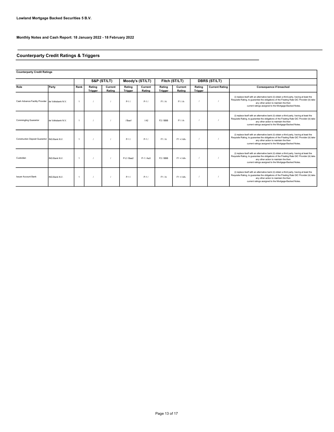### Counterparty Credit Ratings & Triggers

| <b>Counterparty Credit Ratings</b>               |                  |                      |                          |                   |                          |                   |                          |                   |                          |                       |                                                                                                                                                                                                                                                                                              |
|--------------------------------------------------|------------------|----------------------|--------------------------|-------------------|--------------------------|-------------------|--------------------------|-------------------|--------------------------|-----------------------|----------------------------------------------------------------------------------------------------------------------------------------------------------------------------------------------------------------------------------------------------------------------------------------------|
|                                                  |                  |                      |                          | S&P (ST/LT)       |                          | Moody's (ST/LT)   |                          | Fitch (ST/LT)     |                          | <b>DBRS (ST/LT)</b>   |                                                                                                                                                                                                                                                                                              |
| Role                                             | Party            | Rank                 | Rating<br><b>Trigger</b> | Current<br>Rating | Rating<br><b>Trigger</b> | Current<br>Rating | Rating<br><b>Trigger</b> | Current<br>Rating | Rating<br><b>Trigger</b> | <b>Current Rating</b> | <b>Consequence if breached</b>                                                                                                                                                                                                                                                               |
| Cash Advance Facility Provider de Volksbank N.V. |                  | $\overline{1}$       |                          |                   | $P-1/$                   | $P-1/$            | F1/A                     | F1/A              |                          |                       | (i) replace itself with an alternative bank (ii) obtain a third party, having at least the<br>Requisite Rating, to quarantee the obligations of the Floating Rate GIC Provider (iii) take<br>any other action to maintain the then<br>current ratings assigned to the Mortgage-Backed Notes. |
| <b>Commingling Guarantor</b>                     | de Volksbank N V | $\blacktriangleleft$ |                          |                   | / Baa1                   | / A2              | F2/BBB                   | F1/A              |                          |                       | (i) replace itself with an alternative bank (ii) obtain a third party, having at least the<br>Requisite Rating, to guarantee the obligations of the Floating Rate GIC Provider (iii) take<br>any other action to maintain the then<br>current ratings assigned to the Mortgage-Backed Notes. |
| Construction Deposit Guarantor ING Bank N.V.     |                  | $\overline{1}$       |                          |                   | $P-1/$                   | $P-1/$            | F1/A                     | $F1 + A$          |                          |                       | (i) replace itself with an alternative bank (ii) obtain a third party, having at least the<br>Requisite Rating, to guarantee the obligations of the Floating Rate GIC Provider (iii) take<br>any other action to maintain the then<br>current ratings assigned to the Mortgage-Backed Notes. |
| Custodian                                        | ING Bank N.V.    | $\overline{1}$       |                          |                   | P-2 / Baa2               | P-1 / Aa3         | F <sub>2</sub> /BBB      | $F1 + A$          |                          |                       | (i) replace itself with an alternative bank (ii) obtain a third party, having at least the<br>Requisite Rating, to guarantee the obligations of the Floating Rate GIC Provider (iii) take<br>any other action to maintain the then<br>current ratings assigned to the Mortgage-Backed Notes. |
| <b>Issuer Account Bank</b>                       | ING Bank N V     | $\blacktriangleleft$ |                          |                   | $P-1/$                   | $P-1/$            | F1/A                     | $F1 + A$          |                          |                       | (i) replace itself with an alternative bank (ii) obtain a third party, having at least the<br>Requisite Rating, to guarantee the obligations of the Floating Rate GIC Provider (iii) take<br>any other action to maintain the then<br>current ratings assigned to the Mortgage-Backed Notes. |

٦

#### Page 13 of 17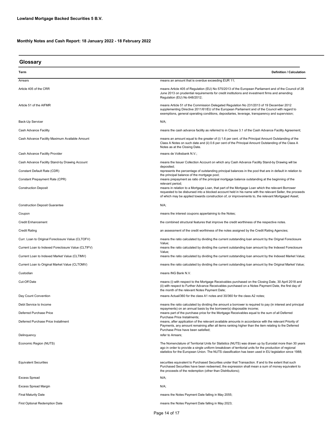| Glossary                                           |                                                                                                                                                                                                                                                                                                                                        |  |  |  |
|----------------------------------------------------|----------------------------------------------------------------------------------------------------------------------------------------------------------------------------------------------------------------------------------------------------------------------------------------------------------------------------------------|--|--|--|
| Term                                               | <b>Definition / Calculation</b>                                                                                                                                                                                                                                                                                                        |  |  |  |
| Arrears                                            | means an amount that is overdue exceeding EUR 11;                                                                                                                                                                                                                                                                                      |  |  |  |
| Article 405 of the CRR                             | means Article 405 of Regulation (EU) No 575/2013 of the European Parliament and of the Council of 26<br>June 2013 on prudential requirements for credit institutions and investment firms and amending<br>Regulation (EU) No 648/2012;                                                                                                 |  |  |  |
| Article 51 of the AIFMR                            | means Article 51 of the Commission Delegated Regulation No 231/2013 of 19 December 2012<br>supplementing Directive 2011/61/EU of the European Parliament and of the Council with regard to<br>exemptions, general operating conditions, depositaries, leverage, transparency and supervision;                                          |  |  |  |
| Back-Up Servicer                                   | $N/A$ ;                                                                                                                                                                                                                                                                                                                                |  |  |  |
| Cash Advance Facility                              | means the cash advance facility as referred to in Clause 3.1 of the Cash Advance Facility Agreement;                                                                                                                                                                                                                                   |  |  |  |
| Cash Advance Facility Maximum Available Amount     | means an amount equal to the greater of (i) 1.6 per cent. of the Principal Amount Outstanding of the<br>Class A Notes on such date and (ii) 0.6 per cent of the Principal Amount Outstanding of the Class A<br>Notes as at the Closing Date.                                                                                           |  |  |  |
| Cash Advance Facility Provider                     | means de Volksbank N.V.;                                                                                                                                                                                                                                                                                                               |  |  |  |
| Cash Advance Facility Stand-by Drawing Account     | means the Issuer Collection Account on which any Cash Advance Facility Stand-by Drawing will be                                                                                                                                                                                                                                        |  |  |  |
| Constant Default Rate (CDR)                        | deposited;<br>represents the percentage of outstanding principal balances in the pool that are in default in relation to                                                                                                                                                                                                               |  |  |  |
| Constant Prepayment Rate (CPR)                     | the principal balance of the mortgage pool;<br>means prepayment as ratio of the principal mortgage balance outstanding at the beginning of the                                                                                                                                                                                         |  |  |  |
| <b>Construction Deposit</b>                        | relevant period;<br>means in relation to a Mortgage Loan, that part of the Mortgage Loan which the relevant Borrower<br>requested to be disbursed into a blocked account held in his name with the relevant Seller, the proceeds<br>of which may be applied towards construction of, or improvements to, the relevant Mortgaged Asset; |  |  |  |
| <b>Construction Deposit Guarantee</b>              | $N/A$ ;                                                                                                                                                                                                                                                                                                                                |  |  |  |
| Coupon                                             | means the interest coupons appertaining to the Notes;                                                                                                                                                                                                                                                                                  |  |  |  |
| <b>Credit Enhancement</b>                          | the combined structural features that improve the credit worthiness of the respective notes.                                                                                                                                                                                                                                           |  |  |  |
| <b>Credit Rating</b>                               | an assessment of the credit worthiness of the notes assigned by the Credit Rating Agencies;                                                                                                                                                                                                                                            |  |  |  |
| Curr. Loan to Original Foreclosure Value (CLTOFV)  | means the ratio calculated by dividing the current outstanding loan amount by the Orignal Foreclosure                                                                                                                                                                                                                                  |  |  |  |
| Current Loan to Indexed Foreclosure Value (CLTIFV) | Value;<br>means the ratio calculated by dividing the current outstanding loan amount by the Indexed Foreclosure                                                                                                                                                                                                                        |  |  |  |
| Current Loan to Indexed Market Value (CLTIMV)      | Value;<br>means the ratio calculated by dividing the current outstanding loan amount by the Indexed Market Value;                                                                                                                                                                                                                      |  |  |  |
| Current Loan to Original Market Value (CLTOMV)     | means the ratio calculated by dividing the current outstanding loan amount by the Original Market Value;                                                                                                                                                                                                                               |  |  |  |
| Custodian                                          | means ING Bank N.V.                                                                                                                                                                                                                                                                                                                    |  |  |  |
| Cut-Off Date                                       | means (i) with respect to the Mortgage Receivables purchased on the Closing Date, 30 April 2018 and<br>ii) with respect to Further Advance Receivables purchased on a Notes Payment Date, the first day of<br>the month of the relevant Notes Payment Date;                                                                            |  |  |  |
| Day Count Convention                               | means Actual/360 for the class A1 notes and 30/360 for the class A2 notes;                                                                                                                                                                                                                                                             |  |  |  |
| Debt Service to Income                             | means the ratio calculated by dividing the amount a borrower is required to pay (in interest and principal<br>repayments) on an annual basis by the borrower(s) disposable income;                                                                                                                                                     |  |  |  |
| Deferred Purchase Price                            | means part of the purchase price for the Mortgage Receivables equal to the sum of all Deferred<br>Purchase Price Instalments;                                                                                                                                                                                                          |  |  |  |
| Deferred Purchase Price Installment                | means, after application of the relevant available amounts in accordance with the relevant Priority of<br>Payments, any amount remaining after all items ranking higher than the item relating to the Deferred<br>Purchase Price have been satisfied;                                                                                  |  |  |  |
| Delinquency                                        | refer to Arrears;                                                                                                                                                                                                                                                                                                                      |  |  |  |
| Economic Region (NUTS)                             | The Nomenclature of Territorial Units for Statistics (NUTS) was drawn up by Eurostat more than 30 years<br>ago in order to provide a single uniform breakdown of territorial units for the production of regional<br>statistics for the European Union. The NUTS classification has been used in EU legislation since 1988;            |  |  |  |
| <b>Equivalent Securities</b>                       | securities equivalent to Purchased Securities under that Transaction. If and to the extent that such<br>Purchased Securities have been redeemed, the expression shall mean a sum of money equivalent to<br>the proceeds of the redemption (other than Distributions);                                                                  |  |  |  |
| <b>Excess Spread</b>                               | N/A;                                                                                                                                                                                                                                                                                                                                   |  |  |  |
| <b>Excess Spread Margin</b>                        | N/A;                                                                                                                                                                                                                                                                                                                                   |  |  |  |
| <b>Final Maturity Date</b>                         | means the Notes Payment Date falling in May 2055;                                                                                                                                                                                                                                                                                      |  |  |  |
| First Optional Redemption Date                     | means the Notes Payment Date falling in May 2023;                                                                                                                                                                                                                                                                                      |  |  |  |

Page 14 of 17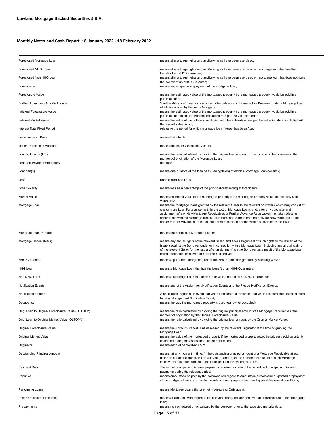| Foreclosed Mortgage Loan                          | means all mortgage rights and ancillary rights have been exercised;                                                                                                                                                                                                                                                                                                                                                                                                                                                         |  |  |  |
|---------------------------------------------------|-----------------------------------------------------------------------------------------------------------------------------------------------------------------------------------------------------------------------------------------------------------------------------------------------------------------------------------------------------------------------------------------------------------------------------------------------------------------------------------------------------------------------------|--|--|--|
| Foreclosed NHG Loan                               | means all mortgage rights and ancillary rights have been exercised on mortgage loan that has the                                                                                                                                                                                                                                                                                                                                                                                                                            |  |  |  |
| Foreclosed Non NHG Loan                           | benefit of an NHG Guarantee;<br>means all mortgage rights and ancillary rights have been exercised on mortgage loan that does not have                                                                                                                                                                                                                                                                                                                                                                                      |  |  |  |
| Foreclosure                                       | the benefit of an NHG Guarantee;<br>means forced (partial) repayment of the mortgage loan;                                                                                                                                                                                                                                                                                                                                                                                                                                  |  |  |  |
| Foreclosure Value                                 | means the estimated value of the mortgaged property if the mortgaged property would be sold in a                                                                                                                                                                                                                                                                                                                                                                                                                            |  |  |  |
| Further Advances / Modified Loans                 | public auction;<br>"Further Advance" means a loan or a further advance to be made to a Borrower under a Mortgage Loan,                                                                                                                                                                                                                                                                                                                                                                                                      |  |  |  |
| Indexed Foreclosure Value                         | which is secured by the same Mortgage;<br>means the estimated value of the mortgaged property if the mortgaged property would be sold in a                                                                                                                                                                                                                                                                                                                                                                                  |  |  |  |
| Indexed Market Value                              | public auction multiplied with the indexation rate per the valuation date;<br>means the value of the collateral multiplied with the indexation rate per the valuation date, multiplied with                                                                                                                                                                                                                                                                                                                                 |  |  |  |
| Interest Rate Fixed Period                        | the market value factor;<br>relates to the period for which mortgage loan interest has been fixed;                                                                                                                                                                                                                                                                                                                                                                                                                          |  |  |  |
| <b>Issuer Account Bank</b>                        | means Rabobank.                                                                                                                                                                                                                                                                                                                                                                                                                                                                                                             |  |  |  |
| <b>Issuer Transaction Account</b>                 | means the Issuer Collection Account.                                                                                                                                                                                                                                                                                                                                                                                                                                                                                        |  |  |  |
| Loan to Income (LTI)                              | means the ratio calculated by dividing the original loan amount by the income of the borrower at the                                                                                                                                                                                                                                                                                                                                                                                                                        |  |  |  |
| Loanpart Payment Frequency                        | moment of origination of the Mortgage Loan;<br>monthly;                                                                                                                                                                                                                                                                                                                                                                                                                                                                     |  |  |  |
| Loanpart(s)                                       | means one or more of the loan parts (leningdelen) of which a Mortgage Loan consists;                                                                                                                                                                                                                                                                                                                                                                                                                                        |  |  |  |
| Loss                                              | refer to Realised Loss;                                                                                                                                                                                                                                                                                                                                                                                                                                                                                                     |  |  |  |
| <b>Loss Severity</b>                              | means loss as a percentage of the principal outstanding at foreclosure;                                                                                                                                                                                                                                                                                                                                                                                                                                                     |  |  |  |
| <b>Market Value</b>                               | means estimated value of the mortgaged property if the mortgaged property would be privately sold                                                                                                                                                                                                                                                                                                                                                                                                                           |  |  |  |
| Mortgage Loan                                     | voluntarily;<br>means the mortgage loans granted by the relevant Seller to the relevant borrowers which may consist of<br>one or more Loan Parts as set forth in the List of Mortgage Loans and, after any purchase and<br>assignment of any New Mortgage Receivables or Further Advance Receivables has taken place in<br>accordance with the Mortgage Receivables Purchase Agreement, the relevant New Mortgage Loans<br>and/or Further Advances, to the extent not retransferred or otherwise disposed of by the Issuer; |  |  |  |
| Mortgage Loan Portfolio                           | means the portfolio of Mortgage Loans;                                                                                                                                                                                                                                                                                                                                                                                                                                                                                      |  |  |  |
| Mortgage Receivable(s)                            | means any and all rights of the relevant Seller (and after assignment of such rights to the Issuer, of the<br>Issuer) against the Borrower under or in connection with a Mortgage Loan, including any and all claims<br>of the relevant Seller (or the Issuer after assignment) on the Borrower as a result of the Mortgage Loan<br>being terminated, dissolved or declared null and void;                                                                                                                                  |  |  |  |
| <b>NHG Guarantee</b>                              | means a guarantee (borgtocht) under the NHG Conditions granted by Stichting WEW;                                                                                                                                                                                                                                                                                                                                                                                                                                            |  |  |  |
| NHG Loan                                          | means a Mortgage Loan that has the benefit of an NHG Guarantee;                                                                                                                                                                                                                                                                                                                                                                                                                                                             |  |  |  |
| Non NHG Loan                                      | means a Mortgage Loan that does not have the benefit of an NHG Guarantee;                                                                                                                                                                                                                                                                                                                                                                                                                                                   |  |  |  |
| <b>Notification Events</b>                        | means any of the Assignment Notification Events and the Pledge Notification Events;                                                                                                                                                                                                                                                                                                                                                                                                                                         |  |  |  |
| Notification Trigger                              | A notification trigger is an event that when it occurs or a threshold that when it is breached, is considered                                                                                                                                                                                                                                                                                                                                                                                                               |  |  |  |
| Occupancy                                         | to be an Assignment Notification Event;<br>means the way the mortgaged property is used (eg. owner occupied);                                                                                                                                                                                                                                                                                                                                                                                                               |  |  |  |
| Orig. Loan to Original Foreclosure Value (OLTOFV) | means the ratio calculated by dividing the original principal amount of a Mortgage Receivable at the                                                                                                                                                                                                                                                                                                                                                                                                                        |  |  |  |
| Orig. Loan to Original Market Value (OLTOMV)      | moment of origination by the Original Foreclosure Value;<br>means the ratio calculated by dividing the original loan amount by the Original Market Value;                                                                                                                                                                                                                                                                                                                                                                   |  |  |  |
| Original Foreclosure Value                        | means the Foreclosure Value as assessed by the relevant Originator at the time of granting the                                                                                                                                                                                                                                                                                                                                                                                                                              |  |  |  |
| Original Market Value                             | Mortgage Loan;<br>means the value of the mortgaged property if the mortgaged property would be privately sold voluntarily,                                                                                                                                                                                                                                                                                                                                                                                                  |  |  |  |
| Originator                                        | estimated during the assessment of the application;<br>means each of de Volkbank N.V.                                                                                                                                                                                                                                                                                                                                                                                                                                       |  |  |  |
| <b>Outstanding Principal Amount</b>               | means, at any moment in time, (i) the outstanding principal amount of a Mortgage Receivable at such<br>time and (ii), after a Realised Loss of type (a) and (b) of the definition in respect of such Mortgage<br>Receivable has been debited to the Principal Deficiency Ledger, zero;                                                                                                                                                                                                                                      |  |  |  |
| Payment Ratio                                     | The actual principal and interest payments received as ratio of the scheduled principal and interest                                                                                                                                                                                                                                                                                                                                                                                                                        |  |  |  |
| Penalties                                         | payments during the relevant period;<br>means amounts to be paid by the borrower with regard to amounts in arrears and or (partial) prepayment<br>of the mortgage loan according to the relevant mortgage contract and applicable general conditions;                                                                                                                                                                                                                                                                       |  |  |  |
| Performing Loans                                  | means Mortgage Loans that are not in Arrears or Delinquent;                                                                                                                                                                                                                                                                                                                                                                                                                                                                 |  |  |  |
| Post-Foreclosure Proceeds                         | means all amounts with regard to the relevant mortgage loan received after foreclosure of that mortgage                                                                                                                                                                                                                                                                                                                                                                                                                     |  |  |  |
| Prepayments                                       | loan;<br>means non scheduled principal paid by the borrower prior to the expected maturity date;<br>Page 15 of 17                                                                                                                                                                                                                                                                                                                                                                                                           |  |  |  |
|                                                   |                                                                                                                                                                                                                                                                                                                                                                                                                                                                                                                             |  |  |  |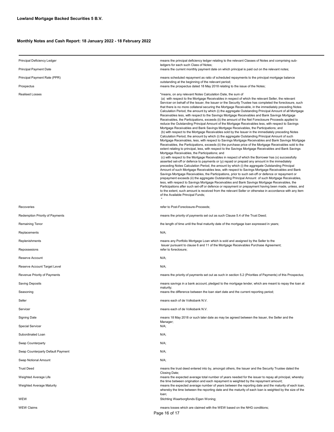| Principal Deficiency Ledger       | means the principal deficiency ledger relating to the relevant Classes of Notes and comprising sub-                                                                                                                                                                                                                                                                                                                                                                                                                                                                                                                                                                                                                                                                                                                                                                                                                                                                                                                                                                                                                                                                                                                                                                                                                                                                                                                                                                                                                                                                                                                                                                                                                                                                                                                                                                                                                                                                                                                                                                                                                                                                                                                                                                                                                                                                                                                                                                       |  |  |
|-----------------------------------|---------------------------------------------------------------------------------------------------------------------------------------------------------------------------------------------------------------------------------------------------------------------------------------------------------------------------------------------------------------------------------------------------------------------------------------------------------------------------------------------------------------------------------------------------------------------------------------------------------------------------------------------------------------------------------------------------------------------------------------------------------------------------------------------------------------------------------------------------------------------------------------------------------------------------------------------------------------------------------------------------------------------------------------------------------------------------------------------------------------------------------------------------------------------------------------------------------------------------------------------------------------------------------------------------------------------------------------------------------------------------------------------------------------------------------------------------------------------------------------------------------------------------------------------------------------------------------------------------------------------------------------------------------------------------------------------------------------------------------------------------------------------------------------------------------------------------------------------------------------------------------------------------------------------------------------------------------------------------------------------------------------------------------------------------------------------------------------------------------------------------------------------------------------------------------------------------------------------------------------------------------------------------------------------------------------------------------------------------------------------------------------------------------------------------------------------------------------------------|--|--|
| Principal Payment Date            | ledgers for each such Class of Notes;<br>means the current monthly payment date on which principal is paid out on the relevant notes;                                                                                                                                                                                                                                                                                                                                                                                                                                                                                                                                                                                                                                                                                                                                                                                                                                                                                                                                                                                                                                                                                                                                                                                                                                                                                                                                                                                                                                                                                                                                                                                                                                                                                                                                                                                                                                                                                                                                                                                                                                                                                                                                                                                                                                                                                                                                     |  |  |
| Principal Payment Rate (PPR)      | means scheduled repayment as ratio of scheduled repayments to the principal mortgage balance<br>outstanding at the beginning of the relevant period;                                                                                                                                                                                                                                                                                                                                                                                                                                                                                                                                                                                                                                                                                                                                                                                                                                                                                                                                                                                                                                                                                                                                                                                                                                                                                                                                                                                                                                                                                                                                                                                                                                                                                                                                                                                                                                                                                                                                                                                                                                                                                                                                                                                                                                                                                                                      |  |  |
| Prospectus                        | means the prospectus dated 18 May 2018 relating to the issue of the Notes;                                                                                                                                                                                                                                                                                                                                                                                                                                                                                                                                                                                                                                                                                                                                                                                                                                                                                                                                                                                                                                                                                                                                                                                                                                                                                                                                                                                                                                                                                                                                                                                                                                                                                                                                                                                                                                                                                                                                                                                                                                                                                                                                                                                                                                                                                                                                                                                                |  |  |
| <b>Realised Losses</b>            | "means, on any relevant Notes Calculation Date, the sum of<br>(a) with respect to the Mortgage Receivables in respect of which the relevant Seller, the relevant<br>Servicer on behalf of the Issuer, the Issuer or the Security Trustee has completed the foreclosure, such<br>that there is no more collateral securing the Mortgage Receivable, in the immediately preceding Notes<br>Calculation Period, the amount by which (i) the aggregate Outstanding Principal Amount of all Mortgage<br>Receivables less, with respect to the Savings Mortgage Receivables and Bank Savings Mortgage<br>Receivables, the Participations, exceeds (ii) the amount of the Net Foreclosure Proceeds applied to<br>reduce the Outstanding Principal Amount of the Mortgage Receivables less, with respect to Savings<br>Mortgage Receivables and Bank Savings Mortgage Receivables, the Participations; and<br>(b) with respect to the Mortgage Receivables sold by the Issuer in the immediately preceding Notes<br>Calculation Period, the amount by which (i) the aggregate Outstanding Principal Amount of such<br>Mortgage Receivables, less, with respect to Savings Mortgage Receivables and Bank Savings Mortgage<br>Receivables, the Participations, exceeds (ii) the purchase price of the Mortgage Receivables sold to the<br>extent relating to principal, less, with respect to the Savings Mortgage Receivables and Bank Savings<br>Mortgage Receivables, the Participations; and<br>(c) with respect to the Mortgage Receivables in respect of which the Borrower has (x) successfully<br>asserted set-off or defence to payments or (y) repaid or prepaid any amount in the immediately<br>preceding Notes Calculation Period, the amount by which (i) the aggregate Outstanding Principal<br>Amount of such Mortgage Receivables less, with respect to Savings Mortgage Receivables and Bank<br>Savings Mortgage Receivables, the Participations, prior to such set-off or defence or repayment or<br>prepayment exceeds (ii) the aggregate Outstanding Principal Amount of such Mortgage Receivables,<br>less, with respect to Savings Mortgage Receivables and Bank Savings Mortgage Receivables, the<br>Participations after such set-off or defence or repayment or prepayment having been made, unless, and<br>to the extent, such amount is received from the relevant Seller or otherwise in accordance with any item<br>of the Available Principal Funds; |  |  |
| Recoveries                        | refer to Post-Foreclosure-Proceeds;                                                                                                                                                                                                                                                                                                                                                                                                                                                                                                                                                                                                                                                                                                                                                                                                                                                                                                                                                                                                                                                                                                                                                                                                                                                                                                                                                                                                                                                                                                                                                                                                                                                                                                                                                                                                                                                                                                                                                                                                                                                                                                                                                                                                                                                                                                                                                                                                                                       |  |  |
| Redemption Priority of Payments   | means the priority of payments set out as such Clause 5.4 of the Trust Deed;                                                                                                                                                                                                                                                                                                                                                                                                                                                                                                                                                                                                                                                                                                                                                                                                                                                                                                                                                                                                                                                                                                                                                                                                                                                                                                                                                                                                                                                                                                                                                                                                                                                                                                                                                                                                                                                                                                                                                                                                                                                                                                                                                                                                                                                                                                                                                                                              |  |  |
| Remaining Tenor                   | the length of time until the final maturity date of the mortgage loan expressed in years;                                                                                                                                                                                                                                                                                                                                                                                                                                                                                                                                                                                                                                                                                                                                                                                                                                                                                                                                                                                                                                                                                                                                                                                                                                                                                                                                                                                                                                                                                                                                                                                                                                                                                                                                                                                                                                                                                                                                                                                                                                                                                                                                                                                                                                                                                                                                                                                 |  |  |
| Replacements                      | N/A;                                                                                                                                                                                                                                                                                                                                                                                                                                                                                                                                                                                                                                                                                                                                                                                                                                                                                                                                                                                                                                                                                                                                                                                                                                                                                                                                                                                                                                                                                                                                                                                                                                                                                                                                                                                                                                                                                                                                                                                                                                                                                                                                                                                                                                                                                                                                                                                                                                                                      |  |  |
| Replenishments                    | means any Portfolio Mortgage Loan which is sold and assigned by the Seller to the<br>Issuer pursuant to clause 6 and 11 of the Mortgage Receivables Purchase Agreement;                                                                                                                                                                                                                                                                                                                                                                                                                                                                                                                                                                                                                                                                                                                                                                                                                                                                                                                                                                                                                                                                                                                                                                                                                                                                                                                                                                                                                                                                                                                                                                                                                                                                                                                                                                                                                                                                                                                                                                                                                                                                                                                                                                                                                                                                                                   |  |  |
| Repossesions                      | refer to foreclosure;                                                                                                                                                                                                                                                                                                                                                                                                                                                                                                                                                                                                                                                                                                                                                                                                                                                                                                                                                                                                                                                                                                                                                                                                                                                                                                                                                                                                                                                                                                                                                                                                                                                                                                                                                                                                                                                                                                                                                                                                                                                                                                                                                                                                                                                                                                                                                                                                                                                     |  |  |
| Reserve Account                   | N/A;                                                                                                                                                                                                                                                                                                                                                                                                                                                                                                                                                                                                                                                                                                                                                                                                                                                                                                                                                                                                                                                                                                                                                                                                                                                                                                                                                                                                                                                                                                                                                                                                                                                                                                                                                                                                                                                                                                                                                                                                                                                                                                                                                                                                                                                                                                                                                                                                                                                                      |  |  |
| Reserve Account Target Level      | N/A;                                                                                                                                                                                                                                                                                                                                                                                                                                                                                                                                                                                                                                                                                                                                                                                                                                                                                                                                                                                                                                                                                                                                                                                                                                                                                                                                                                                                                                                                                                                                                                                                                                                                                                                                                                                                                                                                                                                                                                                                                                                                                                                                                                                                                                                                                                                                                                                                                                                                      |  |  |
| Revenue Priority of Payments      | means the priority of payments set out as such in section 5.2 (Priorities of Payments) of this Prospectus;                                                                                                                                                                                                                                                                                                                                                                                                                                                                                                                                                                                                                                                                                                                                                                                                                                                                                                                                                                                                                                                                                                                                                                                                                                                                                                                                                                                                                                                                                                                                                                                                                                                                                                                                                                                                                                                                                                                                                                                                                                                                                                                                                                                                                                                                                                                                                                |  |  |
| <b>Saving Deposits</b>            | means savings in a bank account, pledged to the mortgage lender, which are meant to repay the loan at                                                                                                                                                                                                                                                                                                                                                                                                                                                                                                                                                                                                                                                                                                                                                                                                                                                                                                                                                                                                                                                                                                                                                                                                                                                                                                                                                                                                                                                                                                                                                                                                                                                                                                                                                                                                                                                                                                                                                                                                                                                                                                                                                                                                                                                                                                                                                                     |  |  |
| Seasoning                         | maturity;<br>means the difference between the loan start date and the current reporting period;                                                                                                                                                                                                                                                                                                                                                                                                                                                                                                                                                                                                                                                                                                                                                                                                                                                                                                                                                                                                                                                                                                                                                                                                                                                                                                                                                                                                                                                                                                                                                                                                                                                                                                                                                                                                                                                                                                                                                                                                                                                                                                                                                                                                                                                                                                                                                                           |  |  |
| Seller                            | means each of de Volksbank N.V.                                                                                                                                                                                                                                                                                                                                                                                                                                                                                                                                                                                                                                                                                                                                                                                                                                                                                                                                                                                                                                                                                                                                                                                                                                                                                                                                                                                                                                                                                                                                                                                                                                                                                                                                                                                                                                                                                                                                                                                                                                                                                                                                                                                                                                                                                                                                                                                                                                           |  |  |
| Servicer                          | means each of de Volksbank N.V.                                                                                                                                                                                                                                                                                                                                                                                                                                                                                                                                                                                                                                                                                                                                                                                                                                                                                                                                                                                                                                                                                                                                                                                                                                                                                                                                                                                                                                                                                                                                                                                                                                                                                                                                                                                                                                                                                                                                                                                                                                                                                                                                                                                                                                                                                                                                                                                                                                           |  |  |
| <b>Signing Date</b>               | means 18 May 2018 or such later date as may be agreed between the Issuer, the Seller and the                                                                                                                                                                                                                                                                                                                                                                                                                                                                                                                                                                                                                                                                                                                                                                                                                                                                                                                                                                                                                                                                                                                                                                                                                                                                                                                                                                                                                                                                                                                                                                                                                                                                                                                                                                                                                                                                                                                                                                                                                                                                                                                                                                                                                                                                                                                                                                              |  |  |
| <b>Special Servicer</b>           | Manager;<br>N/A;                                                                                                                                                                                                                                                                                                                                                                                                                                                                                                                                                                                                                                                                                                                                                                                                                                                                                                                                                                                                                                                                                                                                                                                                                                                                                                                                                                                                                                                                                                                                                                                                                                                                                                                                                                                                                                                                                                                                                                                                                                                                                                                                                                                                                                                                                                                                                                                                                                                          |  |  |
| Subordinated Loan                 | N/A;                                                                                                                                                                                                                                                                                                                                                                                                                                                                                                                                                                                                                                                                                                                                                                                                                                                                                                                                                                                                                                                                                                                                                                                                                                                                                                                                                                                                                                                                                                                                                                                                                                                                                                                                                                                                                                                                                                                                                                                                                                                                                                                                                                                                                                                                                                                                                                                                                                                                      |  |  |
| Swap Counterparty                 | N/A;                                                                                                                                                                                                                                                                                                                                                                                                                                                                                                                                                                                                                                                                                                                                                                                                                                                                                                                                                                                                                                                                                                                                                                                                                                                                                                                                                                                                                                                                                                                                                                                                                                                                                                                                                                                                                                                                                                                                                                                                                                                                                                                                                                                                                                                                                                                                                                                                                                                                      |  |  |
| Swap Counterparty Default Payment | N/A;                                                                                                                                                                                                                                                                                                                                                                                                                                                                                                                                                                                                                                                                                                                                                                                                                                                                                                                                                                                                                                                                                                                                                                                                                                                                                                                                                                                                                                                                                                                                                                                                                                                                                                                                                                                                                                                                                                                                                                                                                                                                                                                                                                                                                                                                                                                                                                                                                                                                      |  |  |
| Swap Notional Amount              | N/A;                                                                                                                                                                                                                                                                                                                                                                                                                                                                                                                                                                                                                                                                                                                                                                                                                                                                                                                                                                                                                                                                                                                                                                                                                                                                                                                                                                                                                                                                                                                                                                                                                                                                                                                                                                                                                                                                                                                                                                                                                                                                                                                                                                                                                                                                                                                                                                                                                                                                      |  |  |
| <b>Trust Deed</b>                 | means the trust deed entered into by, amongst others, the Issuer and the Security Trustee dated the                                                                                                                                                                                                                                                                                                                                                                                                                                                                                                                                                                                                                                                                                                                                                                                                                                                                                                                                                                                                                                                                                                                                                                                                                                                                                                                                                                                                                                                                                                                                                                                                                                                                                                                                                                                                                                                                                                                                                                                                                                                                                                                                                                                                                                                                                                                                                                       |  |  |
| Weighted Average Life             | Closing Date;<br>means the expected average total number of years needed for the issuer to repay all principal, whereby                                                                                                                                                                                                                                                                                                                                                                                                                                                                                                                                                                                                                                                                                                                                                                                                                                                                                                                                                                                                                                                                                                                                                                                                                                                                                                                                                                                                                                                                                                                                                                                                                                                                                                                                                                                                                                                                                                                                                                                                                                                                                                                                                                                                                                                                                                                                                   |  |  |
| Weighted Average Maturity         | the time between origination and each repayment is weighted by the repayment amount;<br>means the expected average number of years between the reporting date and the maturity of each loan,<br>whereby the time between the reporting date and the maturity of each loan is weighted by the size of the<br>loan;                                                                                                                                                                                                                                                                                                                                                                                                                                                                                                                                                                                                                                                                                                                                                                                                                                                                                                                                                                                                                                                                                                                                                                                                                                                                                                                                                                                                                                                                                                                                                                                                                                                                                                                                                                                                                                                                                                                                                                                                                                                                                                                                                         |  |  |
| WEW                               | Stichting Waarborgfonds Eigen Woning;                                                                                                                                                                                                                                                                                                                                                                                                                                                                                                                                                                                                                                                                                                                                                                                                                                                                                                                                                                                                                                                                                                                                                                                                                                                                                                                                                                                                                                                                                                                                                                                                                                                                                                                                                                                                                                                                                                                                                                                                                                                                                                                                                                                                                                                                                                                                                                                                                                     |  |  |
| <b>WEW Claims</b>                 | means losses which are claimed with the WEW based on the NHG conditions;<br>Page 16 of 17                                                                                                                                                                                                                                                                                                                                                                                                                                                                                                                                                                                                                                                                                                                                                                                                                                                                                                                                                                                                                                                                                                                                                                                                                                                                                                                                                                                                                                                                                                                                                                                                                                                                                                                                                                                                                                                                                                                                                                                                                                                                                                                                                                                                                                                                                                                                                                                 |  |  |